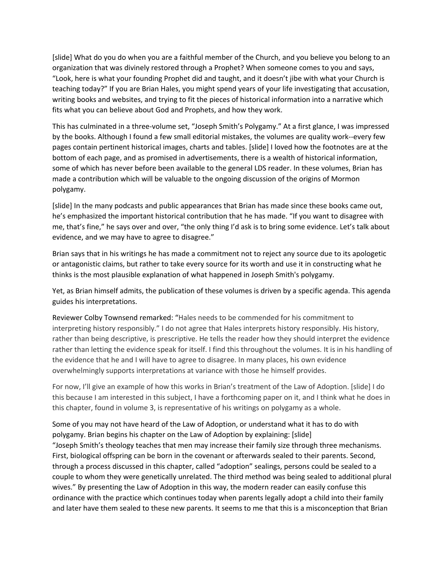[slide] What do you do when you are a faithful member of the Church, and you believe you belong to an organization that was divinely restored through a Prophet? When someone comes to you and says, "Look, here is what your founding Prophet did and taught, and it doesn't jibe with what your Church is teaching today?" If you are Brian Hales, you might spend years of your life investigating that accusation, writing books and websites, and trying to fit the pieces of historical information into a narrative which fits what you can believe about God and Prophets, and how they work.

This has culminated in a three-volume set, "Joseph Smith's Polygamy." At a first glance, I was impressed by the books. Although I found a few small editorial mistakes, the volumes are quality work--every few pages contain pertinent historical images, charts and tables. [slide] I loved how the footnotes are at the bottom of each page, and as promised in advertisements, there is a wealth of historical information, some of which has never before been available to the general LDS reader. In these volumes, Brian has made a contribution which will be valuable to the ongoing discussion of the origins of Mormon polygamy.

[slide] In the many podcasts and public appearances that Brian has made since these books came out, he's emphasized the important historical contribution that he has made. "If you want to disagree with me, that's fine," he says over and over, "the only thing I'd ask is to bring some evidence. Let's talk about evidence, and we may have to agree to disagree."

Brian says that in his writings he has made a commitment not to reject any source due to its apologetic or antagonistic claims, but rather to take every source for its worth and use it in constructing what he thinks is the most plausible explanation of what happened in Joseph Smith's polygamy.

Yet, as Brian himself admits, the publication of these volumes is driven by a specific agenda. This agenda guides his interpretations.

Reviewer Colby Townsend remarked: "Hales needs to be commended for his commitment to interpreting history responsibly." I do not agree that Hales interprets history responsibly. His history, rather than being descriptive, is prescriptive. He tells the reader how they should interpret the evidence rather than letting the evidence speak for itself. I find this throughout the volumes. It is in his handling of the evidence that he and I will have to agree to disagree. In many places, his own evidence overwhelmingly supports interpretations at variance with those he himself provides.

For now, I'll give an example of how this works in Brian's treatment of the Law of Adoption. [slide] I do this because I am interested in this subject, I have a forthcoming paper on it, and I think what he does in this chapter, found in volume 3, is representative of his writings on polygamy as a whole.

Some of you may not have heard of the Law of Adoption, or understand what it has to do with polygamy. Brian begins his chapter on the Law of Adoption by explaining: [slide] "Joseph Smith's theology teaches that men may increase their family size through three mechanisms. First, biological offspring can be born in the covenant or afterwards sealed to their parents. Second, through a process discussed in this chapter, called "adoption" sealings, persons could be sealed to a couple to whom they were genetically unrelated. The third method was being sealed to additional plural wives." By presenting the Law of Adoption in this way, the modern reader can easily confuse this ordinance with the practice which continues today when parents legally adopt a child into their family and later have them sealed to these new parents. It seems to me that this is a misconception that Brian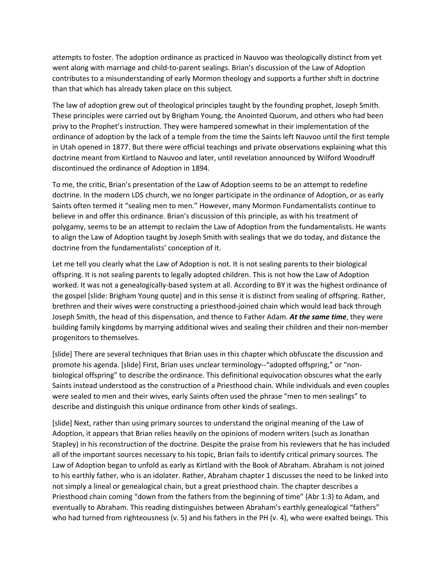attempts to foster. The adoption ordinance as practiced in Nauvoo was theologically distinct from yet went along with marriage and child-to-parent sealings. Brian's discussion of the Law of Adoption contributes to a misunderstanding of early Mormon theology and supports a further shift in doctrine than that which has already taken place on this subject.

The law of adoption grew out of theological principles taught by the founding prophet, Joseph Smith. These principles were carried out by Brigham Young, the Anointed Quorum, and others who had been privy to the Prophet's instruction. They were hampered somewhat in their implementation of the ordinance of adoption by the lack of a temple from the time the Saints left Nauvoo until the first temple in Utah opened in 1877. But there were official teachings and private observations explaining what this doctrine meant from Kirtland to Nauvoo and later, until revelation announced by Wilford Woodruff discontinued the ordinance of Adoption in 1894.

To me, the critic, Brian's presentation of the Law of Adoption seems to be an attempt to redefine doctrine. In the modern LDS church, we no longer participate in the ordinance of Adoption, or as early Saints often termed it "sealing men to men." However, many Mormon Fundamentalists continue to believe in and offer this ordinance. Brian's discussion of this principle, as with his treatment of polygamy, seems to be an attempt to reclaim the Law of Adoption from the fundamentalists. He wants to align the Law of Adoption taught by Joseph Smith with sealings that we do today, and distance the doctrine from the fundamentalists' conception of it.

Let me tell you clearly what the Law of Adoption is not. It is not sealing parents to their biological offspring. It is not sealing parents to legally adopted children. This is not how the Law of Adoption worked. It was not a genealogically-based system at all. According to BY it was the highest ordinance of the gospel [slide: Brigham Young quote] and in this sense it is distinct from sealing of offspring. Rather, brethren and their wives were constructing a priesthood-joined chain which would lead back through Joseph Smith, the head of this dispensation, and thence to Father Adam. *At the same time*, they were building family kingdoms by marrying additional wives and sealing their children and their non-member progenitors to themselves.

[slide] There are several techniques that Brian uses in this chapter which obfuscate the discussion and promote his agenda. [slide] First, Brian uses unclear terminology--"adopted offspring," or "nonbiological offspring" to describe the ordinance. This definitional equivocation obscures what the early Saints instead understood as the construction of a Priesthood chain. While individuals and even couples were sealed to men and their wives, early Saints often used the phrase "men to men sealings" to describe and distinguish this unique ordinance from other kinds of sealings.

[slide] Next, rather than using primary sources to understand the original meaning of the Law of Adoption, it appears that Brian relies heavily on the opinions of modern writers (such as Jonathan Stapley) in his reconstruction of the doctrine. Despite the praise from his reviewers that he has included all of the important sources necessary to his topic, Brian fails to identify critical primary sources. The Law of Adoption began to unfold as early as Kirtland with the Book of Abraham. Abraham is not joined to his earthly father, who is an idolater. Rather, Abraham chapter 1 discusses the need to be linked into not simply a lineal or genealogical chain, but a great priesthood chain. The chapter describes a Priesthood chain coming "down from the fathers from the beginning of time" (Abr 1:3) to Adam, and eventually to Abraham. This reading distinguishes between Abraham's earthly genealogical "fathers" who had turned from righteousness (v. 5) and his fathers in the PH (v. 4), who were exalted beings. This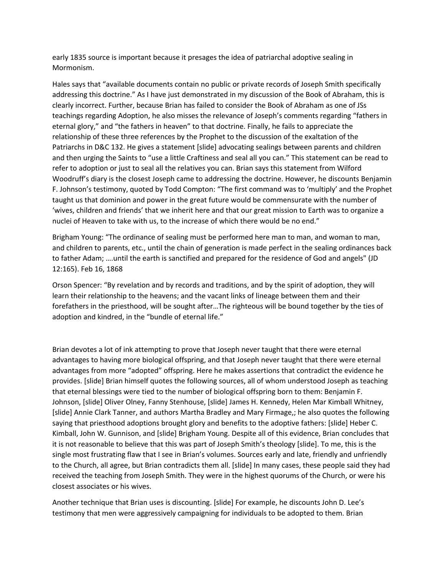early 1835 source is important because it presages the idea of patriarchal adoptive sealing in Mormonism.

Hales says that "available documents contain no public or private records of Joseph Smith specifically addressing this doctrine." As I have just demonstrated in my discussion of the Book of Abraham, this is clearly incorrect. Further, because Brian has failed to consider the Book of Abraham as one of JSs teachings regarding Adoption, he also misses the relevance of Joseph's comments regarding "fathers in eternal glory," and "the fathers in heaven" to that doctrine. Finally, he fails to appreciate the relationship of these three references by the Prophet to the discussion of the exaltation of the Patriarchs in D&C 132. He gives a statement [slide] advocating sealings between parents and children and then urging the Saints to "use a little Craftiness and seal all you can." This statement can be read to refer to adoption or just to seal all the relatives you can. Brian says this statement from Wilford Woodruff's diary is the closest Joseph came to addressing the doctrine. However, he discounts Benjamin F. Johnson's testimony, quoted by Todd Compton: "The first command was to 'multiply' and the Prophet taught us that dominion and power in the great future would be commensurate with the number of 'wives, children and friends' that we inherit here and that our great mission to Earth was to organize a nuclei of Heaven to take with us, to the increase of which there would be no end."

Brigham Young: "The ordinance of sealing must be performed here man to man, and woman to man, and children to parents, etc., until the chain of generation is made perfect in the sealing ordinances back to father Adam; ….until the earth is sanctified and prepared for the residence of God and angels" (JD 12:165). Feb 16, 1868

Orson Spencer: "By revelation and by records and traditions, and by the spirit of adoption, they will learn their relationship to the heavens; and the vacant links of lineage between them and their forefathers in the priesthood, will be sought after…The righteous will be bound together by the ties of adoption and kindred, in the "bundle of eternal life."

Brian devotes a lot of ink attempting to prove that Joseph never taught that there were eternal advantages to having more biological offspring, and that Joseph never taught that there were eternal advantages from more "adopted" offspring. Here he makes assertions that contradict the evidence he provides. [slide] Brian himself quotes the following sources, all of whom understood Joseph as teaching that eternal blessings were tied to the number of biological offspring born to them: Benjamin F. Johnson, [slide] Oliver Olney, Fanny Stenhouse, [slide] James H. Kennedy, Helen Mar Kimball Whitney, [slide] Annie Clark Tanner, and authors Martha Bradley and Mary Firmage,; he also quotes the following saying that priesthood adoptions brought glory and benefits to the adoptive fathers: [slide] Heber C. Kimball, John W. Gunnison, and [slide] Brigham Young. Despite all of this evidence, Brian concludes that it is not reasonable to believe that this was part of Joseph Smith's theology [slide]. To me, this is the single most frustrating flaw that I see in Brian's volumes. Sources early and late, friendly and unfriendly to the Church, all agree, but Brian contradicts them all. [slide] In many cases, these people said they had received the teaching from Joseph Smith. They were in the highest quorums of the Church, or were his closest associates or his wives.

Another technique that Brian uses is discounting. [slide] For example, he discounts John D. Lee's testimony that men were aggressively campaigning for individuals to be adopted to them. Brian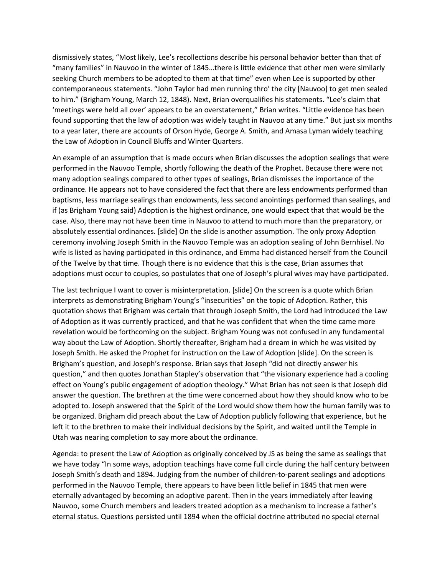dismissively states, "Most likely, Lee's recollections describe his personal behavior better than that of "many families" in Nauvoo in the winter of 1845…there is little evidence that other men were similarly seeking Church members to be adopted to them at that time" even when Lee is supported by other contemporaneous statements. "John Taylor had men running thro' the city [Nauvoo] to get men sealed to him." (Brigham Young, March 12, 1848). Next, Brian overqualifies his statements. "Lee's claim that 'meetings were held all over' appears to be an overstatement," Brian writes. "Little evidence has been found supporting that the law of adoption was widely taught in Nauvoo at any time." But just six months to a year later, there are accounts of Orson Hyde, George A. Smith, and Amasa Lyman widely teaching the Law of Adoption in Council Bluffs and Winter Quarters.

An example of an assumption that is made occurs when Brian discusses the adoption sealings that were performed in the Nauvoo Temple, shortly following the death of the Prophet. Because there were not many adoption sealings compared to other types of sealings, Brian dismisses the importance of the ordinance. He appears not to have considered the fact that there are less endowments performed than baptisms, less marriage sealings than endowments, less second anointings performed than sealings, and if (as Brigham Young said) Adoption is the highest ordinance, one would expect that that would be the case. Also, there may not have been time in Nauvoo to attend to much more than the preparatory, or absolutely essential ordinances. [slide] On the slide is another assumption. The only proxy Adoption ceremony involving Joseph Smith in the Nauvoo Temple was an adoption sealing of John Bernhisel. No wife is listed as having participated in this ordinance, and Emma had distanced herself from the Council of the Twelve by that time. Though there is no evidence that this is the case, Brian assumes that adoptions must occur to couples, so postulates that one of Joseph's plural wives may have participated.

The last technique I want to cover is misinterpretation. [slide] On the screen is a quote which Brian interprets as demonstrating Brigham Young's "insecurities" on the topic of Adoption. Rather, this quotation shows that Brigham was certain that through Joseph Smith, the Lord had introduced the Law of Adoption as it was currently practiced, and that he was confident that when the time came more revelation would be forthcoming on the subject. Brigham Young was not confused in any fundamental way about the Law of Adoption. Shortly thereafter, Brigham had a dream in which he was visited by Joseph Smith. He asked the Prophet for instruction on the Law of Adoption [slide]. On the screen is Brigham's question, and Joseph's response. Brian says that Joseph "did not directly answer his question," and then quotes Jonathan Stapley's observation that "the visionary experience had a cooling effect on Young's public engagement of adoption theology." What Brian has not seen is that Joseph did answer the question. The brethren at the time were concerned about how they should know who to be adopted to. Joseph answered that the Spirit of the Lord would show them how the human family was to be organized. Brigham did preach about the Law of Adoption publicly following that experience, but he left it to the brethren to make their individual decisions by the Spirit, and waited until the Temple in Utah was nearing completion to say more about the ordinance.

Agenda: to present the Law of Adoption as originally conceived by JS as being the same as sealings that we have today "In some ways, adoption teachings have come full circle during the half century between Joseph Smith's death and 1894. Judging from the number of children-to-parent sealings and adoptions performed in the Nauvoo Temple, there appears to have been little belief in 1845 that men were eternally advantaged by becoming an adoptive parent. Then in the years immediately after leaving Nauvoo, some Church members and leaders treated adoption as a mechanism to increase a father's eternal status. Questions persisted until 1894 when the official doctrine attributed no special eternal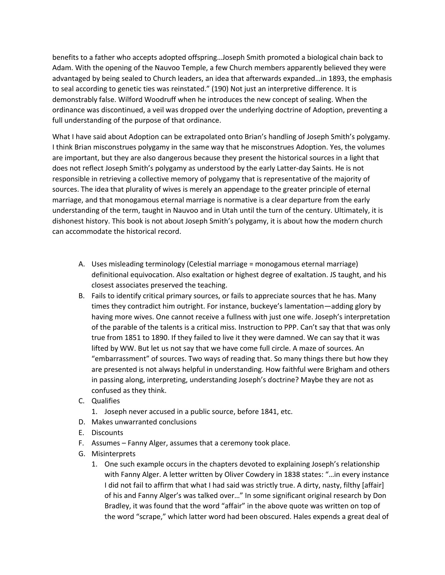benefits to a father who accepts adopted offspring…Joseph Smith promoted a biological chain back to Adam. With the opening of the Nauvoo Temple, a few Church members apparently believed they were advantaged by being sealed to Church leaders, an idea that afterwards expanded…in 1893, the emphasis to seal according to genetic ties was reinstated." (190) Not just an interpretive difference. It is demonstrably false. Wilford Woodruff when he introduces the new concept of sealing. When the ordinance was discontinued, a veil was dropped over the underlying doctrine of Adoption, preventing a full understanding of the purpose of that ordinance.

What I have said about Adoption can be extrapolated onto Brian's handling of Joseph Smith's polygamy. I think Brian misconstrues polygamy in the same way that he misconstrues Adoption. Yes, the volumes are important, but they are also dangerous because they present the historical sources in a light that does not reflect Joseph Smith's polygamy as understood by the early Latter-day Saints. He is not responsible in retrieving a collective memory of polygamy that is representative of the majority of sources. The idea that plurality of wives is merely an appendage to the greater principle of eternal marriage, and that monogamous eternal marriage is normative is a clear departure from the early understanding of the term, taught in Nauvoo and in Utah until the turn of the century. Ultimately, it is dishonest history. This book is not about Joseph Smith's polygamy, it is about how the modern church can accommodate the historical record.

- A. Uses misleading terminology (Celestial marriage = monogamous eternal marriage) definitional equivocation. Also exaltation or highest degree of exaltation. JS taught, and his closest associates preserved the teaching.
- B. Fails to identify critical primary sources, or fails to appreciate sources that he has. Many times they contradict him outright. For instance, buckeye's lamentation—adding glory by having more wives. One cannot receive a fullness with just one wife. Joseph's interpretation of the parable of the talents is a critical miss. Instruction to PPP. Can't say that that was only true from 1851 to 1890. If they failed to live it they were damned. We can say that it was lifted by WW. But let us not say that we have come full circle. A maze of sources. An "embarrassment" of sources. Two ways of reading that. So many things there but how they are presented is not always helpful in understanding. How faithful were Brigham and others in passing along, interpreting, understanding Joseph's doctrine? Maybe they are not as confused as they think.
- C. Qualifies
	- 1. Joseph never accused in a public source, before 1841, etc.
- D. Makes unwarranted conclusions
- E. Discounts
- F. Assumes Fanny Alger, assumes that a ceremony took place.
- G. Misinterprets
	- 1. One such example occurs in the chapters devoted to explaining Joseph's relationship with Fanny Alger. A letter written by Oliver Cowdery in 1838 states: "…in every instance I did not fail to affirm that what I had said was strictly true. A dirty, nasty, filthy [affair] of his and Fanny Alger's was talked over…" In some significant original research by Don Bradley, it was found that the word "affair" in the above quote was written on top of the word "scrape," which latter word had been obscured. Hales expends a great deal of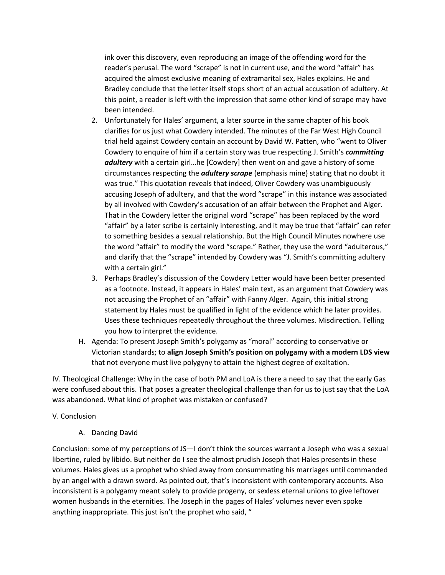ink over this discovery, even reproducing an image of the offending word for the reader's perusal. The word "scrape" is not in current use, and the word "affair" has acquired the almost exclusive meaning of extramarital sex, Hales explains. He and Bradley conclude that the letter itself stops short of an actual accusation of adultery. At this point, a reader is left with the impression that some other kind of scrape may have been intended.

- 2. Unfortunately for Hales' argument, a later source in the same chapter of his book clarifies for us just what Cowdery intended. The minutes of the Far West High Council trial held against Cowdery contain an account by David W. Patten, who "went to Oliver Cowdery to enquire of him if a certain story was true respecting J. Smith's *committing adultery* with a certain girl…he [Cowdery] then went on and gave a history of some circumstances respecting the *adultery scrape* (emphasis mine) stating that no doubt it was true." This quotation reveals that indeed, Oliver Cowdery was unambiguously accusing Joseph of adultery, and that the word "scrape" in this instance was associated by all involved with Cowdery's accusation of an affair between the Prophet and Alger. That in the Cowdery letter the original word "scrape" has been replaced by the word "affair" by a later scribe is certainly interesting, and it may be true that "affair" can refer to something besides a sexual relationship. But the High Council Minutes nowhere use the word "affair" to modify the word "scrape." Rather, they use the word "adulterous," and clarify that the "scrape" intended by Cowdery was "J. Smith's committing adultery with a certain girl."
- 3. Perhaps Bradley's discussion of the Cowdery Letter would have been better presented as a footnote. Instead, it appears in Hales' main text, as an argument that Cowdery was not accusing the Prophet of an "affair" with Fanny Alger. Again, this initial strong statement by Hales must be qualified in light of the evidence which he later provides. Uses these techniques repeatedly throughout the three volumes. Misdirection. Telling you how to interpret the evidence.
- H. Agenda: To present Joseph Smith's polygamy as "moral" according to conservative or Victorian standards; to **align Joseph Smith's position on polygamy with a modern LDS view**  that not everyone must live polygyny to attain the highest degree of exaltation.

IV. Theological Challenge: Why in the case of both PM and LoA is there a need to say that the early Gas were confused about this. That poses a greater theological challenge than for us to just say that the LoA was abandoned. What kind of prophet was mistaken or confused?

## V. Conclusion

A. Dancing David

Conclusion: some of my perceptions of JS—I don't think the sources warrant a Joseph who was a sexual libertine, ruled by libido. But neither do I see the almost prudish Joseph that Hales presents in these volumes. Hales gives us a prophet who shied away from consummating his marriages until commanded by an angel with a drawn sword. As pointed out, that's inconsistent with contemporary accounts. Also inconsistent is a polygamy meant solely to provide progeny, or sexless eternal unions to give leftover women husbands in the eternities. The Joseph in the pages of Hales' volumes never even spoke anything inappropriate. This just isn't the prophet who said, "